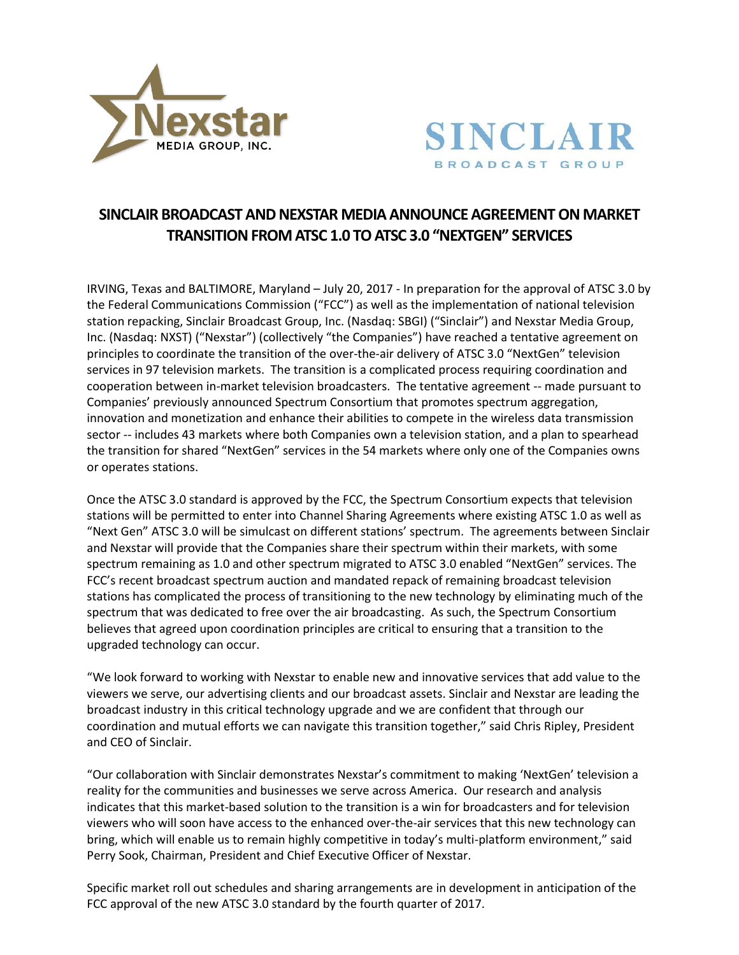



# **SINCLAIR BROADCAST AND NEXSTAR MEDIA ANNOUNCE AGREEMENT ON MARKET TRANSITION FROM ATSC 1.0 TO ATSC 3.0 "NEXTGEN" SERVICES**

IRVING, Texas and BALTIMORE, Maryland – July 20, 2017 - In preparation for the approval of ATSC 3.0 by the Federal Communications Commission ("FCC") as well as the implementation of national television station repacking, Sinclair Broadcast Group, Inc. (Nasdaq: SBGI) ("Sinclair") and Nexstar Media Group, Inc. (Nasdaq: NXST) ("Nexstar") (collectively "the Companies") have reached a tentative agreement on principles to coordinate the transition of the over-the-air delivery of ATSC 3.0 "NextGen" television services in 97 television markets. The transition is a complicated process requiring coordination and cooperation between in-market television broadcasters. The tentative agreement -- made pursuant to Companies' previously announced Spectrum Consortium that promotes spectrum aggregation, innovation and monetization and enhance their abilities to compete in the wireless data transmission sector -- includes 43 markets where both Companies own a television station, and a plan to spearhead the transition for shared "NextGen" services in the 54 markets where only one of the Companies owns or operates stations.

Once the ATSC 3.0 standard is approved by the FCC, the Spectrum Consortium expects that television stations will be permitted to enter into Channel Sharing Agreements where existing ATSC 1.0 as well as "Next Gen" ATSC 3.0 will be simulcast on different stations' spectrum. The agreements between Sinclair and Nexstar will provide that the Companies share their spectrum within their markets, with some spectrum remaining as 1.0 and other spectrum migrated to ATSC 3.0 enabled "NextGen" services. The FCC's recent broadcast spectrum auction and mandated repack of remaining broadcast television stations has complicated the process of transitioning to the new technology by eliminating much of the spectrum that was dedicated to free over the air broadcasting. As such, the Spectrum Consortium believes that agreed upon coordination principles are critical to ensuring that a transition to the upgraded technology can occur.

"We look forward to working with Nexstar to enable new and innovative services that add value to the viewers we serve, our advertising clients and our broadcast assets. Sinclair and Nexstar are leading the broadcast industry in this critical technology upgrade and we are confident that through our coordination and mutual efforts we can navigate this transition together," said Chris Ripley, President and CEO of Sinclair.

"Our collaboration with Sinclair demonstrates Nexstar's commitment to making 'NextGen' television a reality for the communities and businesses we serve across America. Our research and analysis indicates that this market-based solution to the transition is a win for broadcasters and for television viewers who will soon have access to the enhanced over-the-air services that this new technology can bring, which will enable us to remain highly competitive in today's multi-platform environment," said Perry Sook, Chairman, President and Chief Executive Officer of Nexstar.

Specific market roll out schedules and sharing arrangements are in development in anticipation of the FCC approval of the new ATSC 3.0 standard by the fourth quarter of 2017.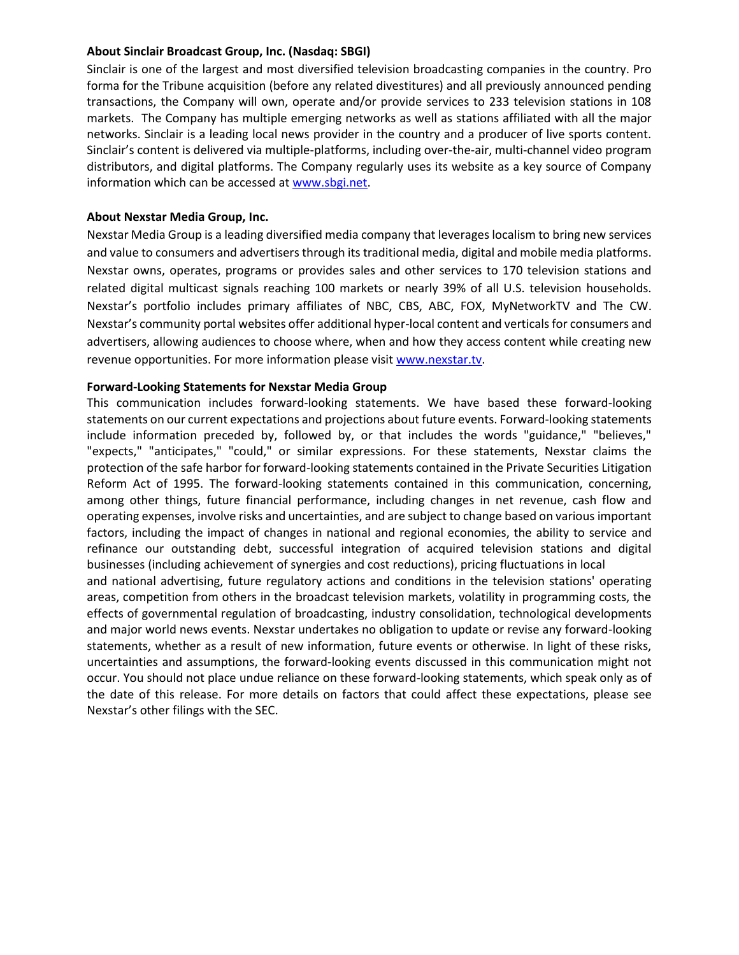#### **About Sinclair Broadcast Group, Inc. (Nasdaq: SBGI)**

Sinclair is one of the largest and most diversified television broadcasting companies in the country. Pro forma for the Tribune acquisition (before any related divestitures) and all previously announced pending transactions, the Company will own, operate and/or provide services to 233 television stations in 108 markets. The Company has multiple emerging networks as well as stations affiliated with all the major networks. Sinclair is a leading local news provider in the country and a producer of live sports content. Sinclair's content is delivered via multiple-platforms, including over-the-air, multi-channel video program distributors, and digital platforms. The Company regularly uses its website as a key source of Company information which can be accessed a[t www.sbgi.net.](http://www.sbgi.net/)

## **About Nexstar Media Group, Inc.**

Nexstar Media Group is a leading diversified media company that leverages localism to bring new services and value to consumers and advertisers through its traditional media, digital and mobile media platforms. Nexstar owns, operates, programs or provides sales and other services to 170 television stations and related digital multicast signals reaching 100 markets or nearly 39% of all U.S. television households. Nexstar's portfolio includes primary affiliates of NBC, CBS, ABC, FOX, MyNetworkTV and The CW. Nexstar's community portal websites offer additional hyper-local content and verticals for consumers and advertisers, allowing audiences to choose where, when and how they access content while creating new revenue opportunities. For more information please visit [www.nexstar.tv.](http://www.nexstar.tv/)

### **Forward-Looking Statements for Nexstar Media Group**

This communication includes forward-looking statements. We have based these forward-looking statements on our current expectations and projections about future events. Forward-looking statements include information preceded by, followed by, or that includes the words "guidance," "believes," "expects," "anticipates," "could," or similar expressions. For these statements, Nexstar claims the protection of the safe harbor for forward-looking statements contained in the Private Securities Litigation Reform Act of 1995. The forward-looking statements contained in this communication, concerning, among other things, future financial performance, including changes in net revenue, cash flow and operating expenses, involve risks and uncertainties, and are subject to change based on various important factors, including the impact of changes in national and regional economies, the ability to service and refinance our outstanding debt, successful integration of acquired television stations and digital businesses (including achievement of synergies and cost reductions), pricing fluctuations in local and national advertising, future regulatory actions and conditions in the television stations' operating areas, competition from others in the broadcast television markets, volatility in programming costs, the effects of governmental regulation of broadcasting, industry consolidation, technological developments and major world news events. Nexstar undertakes no obligation to update or revise any forward-looking statements, whether as a result of new information, future events or otherwise. In light of these risks, uncertainties and assumptions, the forward-looking events discussed in this communication might not occur. You should not place undue reliance on these forward-looking statements, which speak only as of the date of this release. For more details on factors that could affect these expectations, please see Nexstar's other filings with the SEC.